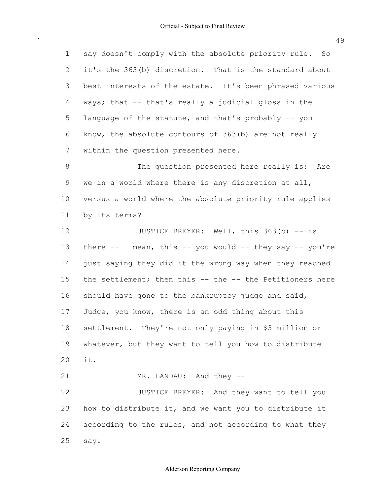say doesn't comply with the absolute priority rule. So it's the 363(b) discretion. That is the standard about best interests of the estate. It's been phrased various ways; that -- that's really a judicial gloss in the language of the statute, and that's probably -- you know, the absolute contours of 363(b) are not really within the question presented here. we in a world where there is any discretion at all, versus a world where the absolute priority rule applies by its terms? there -- I mean, this -- you would -- they say -- you're just saying they did it the wrong way when they reached the settlement; then this -- the -- the Petitioners here should have gone to the bankruptcy judge and said, Judge, you know, there is an odd thing about this settlement. They're not only paying in \$3 million or whatever, but they want to tell you how to distribute how to distribute it, and we want you to distribute it according to the rules, and not according to what they 1 2 3 4 5 6 7 8 9 10 11 12 13 14 15 16 17 18 19 20 21 22 23 24 25 The question presented here really is: Are JUSTICE BREYER: Well, this 363(b) -- is it. MR. LANDAU: And they -- JUSTICE BREYER: And they want to tell you say.

49

# Alderson Reporting Company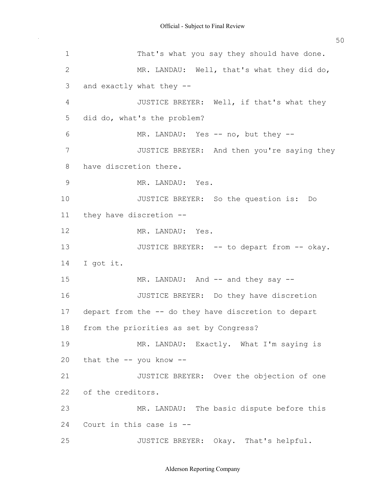$\sim$   $\sim$ 

| $\mathbf 1$    | That's what you say they should have done.              |
|----------------|---------------------------------------------------------|
| $\mathbf{2}$   | MR. LANDAU: Well, that's what they did do,              |
| $\mathfrak{Z}$ | and exactly what they --                                |
| $\overline{4}$ | JUSTICE BREYER: Well, if that's what they               |
| 5              | did do, what's the problem?                             |
| 6              | MR. LANDAU: Yes -- no, but they --                      |
| 7              | JUSTICE BREYER: And then you're saying they             |
| $8\,$          | have discretion there.                                  |
| $\mathcal{G}$  | MR. LANDAU: Yes.                                        |
| 10             | JUSTICE BREYER: So the question is: Do                  |
| 11             | they have discretion --                                 |
| 12             | MR. LANDAU: Yes.                                        |
| 13             | JUSTICE BREYER: -- to depart from -- okay.              |
| 14             | I got it.                                               |
| 15             | MR. LANDAU: And -- and they say --                      |
| 16             | JUSTICE BREYER: Do they have discretion                 |
|                | 17 depart from the -- do they have discretion to depart |
| 18             | from the priorities as set by Congress?                 |
| 19             | MR. LANDAU: Exactly. What I'm saying is                 |
| 20             | that the $--$ you know $--$                             |
| 21             | JUSTICE BREYER: Over the objection of one               |
| 22             | of the creditors.                                       |
| 23             | MR. LANDAU: The basic dispute before this               |
| 24             | Court in this case is --                                |
| 25             | JUSTICE BREYER: Okay. That's helpful.                   |

Alderson Reporting Company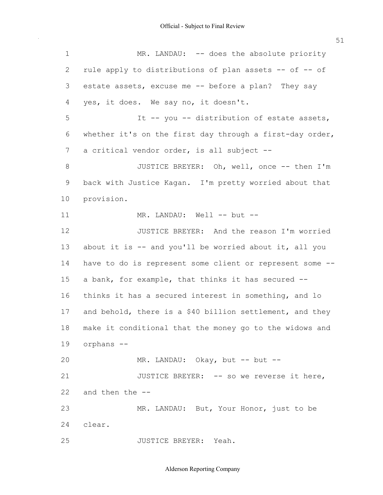$\sim$ 

| $\mathbf 1$ | MR. LANDAU: -- does the absolute priority                |
|-------------|----------------------------------------------------------|
| 2           | rule apply to distributions of plan assets -- of -- of   |
| 3           | estate assets, excuse me -- before a plan? They say      |
| 4           | yes, it does. We say no, it doesn't.                     |
| 5           | It -- you -- distribution of estate assets,              |
| 6           | whether it's on the first day through a first-day order, |
| 7           | a critical vendor order, is all subject --               |
| 8           | JUSTICE BREYER: Oh, well, once -- then I'm               |
| 9           | back with Justice Kagan. I'm pretty worried about that   |
| 10          | provision.                                               |
| 11          | MR. LANDAU: Well -- but --                               |
| 12          | JUSTICE BREYER: And the reason I'm worried               |
| 13          | about it is $-$ and you'll be worried about it, all you  |
| 14          | have to do is represent some client or represent some -- |
| 15          | a bank, for example, that thinks it has secured --       |
| 16          | thinks it has a secured interest in something, and lo    |
| 17          | and behold, there is a \$40 billion settlement, and they |
| 18          | make it conditional that the money go to the widows and  |
| 19          | orphans --                                               |
| 20          | MR. LANDAU: Okay, but -- but --                          |
| 21          | JUSTICE BREYER: -- so we reverse it here,                |
| 22          | and then the --                                          |
| 23          | MR. LANDAU: But, Your Honor, just to be                  |
| 24          | clear.                                                   |
| 25          | JUSTICE BREYER: Yeah.                                    |

Alderson Reporting Company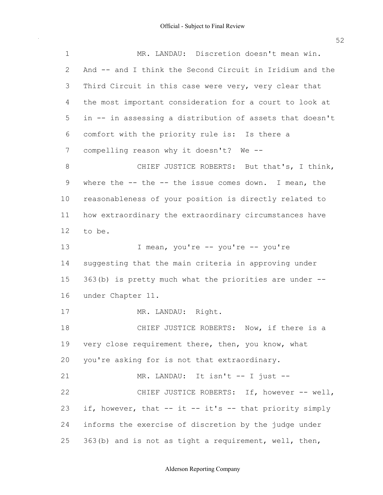$\sim$   $\sim$ 

| $\mathbf 1$ | MR. LANDAU: Discretion doesn't mean win.                  |
|-------------|-----------------------------------------------------------|
| 2           | And -- and I think the Second Circuit in Iridium and the  |
| 3           | Third Circuit in this case were very, very clear that     |
| 4           | the most important consideration for a court to look at   |
| 5           | in -- in assessing a distribution of assets that doesn't  |
| 6           | comfort with the priority rule is: Is there a             |
| 7           | compelling reason why it doesn't? We --                   |
| $8\,$       | CHIEF JUSTICE ROBERTS: But that's, I think,               |
| 9           | where the $--$ the $--$ the issue comes down. I mean, the |
| 10          | reasonableness of your position is directly related to    |
| 11          | how extraordinary the extraordinary circumstances have    |
| 12          | to be.                                                    |
| 13          | I mean, you're -- you're -- you're                        |
| 14          | suggesting that the main criteria in approving under      |
| 15          | 363(b) is pretty much what the priorities are under --    |
| 16          | under Chapter 11.                                         |
| 17          | MR. LANDAU: Right.                                        |
| 18          | CHIEF JUSTICE ROBERTS: Now, if there is a                 |
| 19          | very close requirement there, then, you know, what        |
| 20          | you're asking for is not that extraordinary.              |
| 21          | MR. LANDAU: It isn't -- I just --                         |
| 22          | CHIEF JUSTICE ROBERTS: If, however -- well,               |
| 23          | if, however, that -- it -- it's -- that priority simply   |
| 24          | informs the exercise of discretion by the judge under     |
| 25          | 363(b) and is not as tight a requirement, well, then,     |

52

## Alderson Reporting Company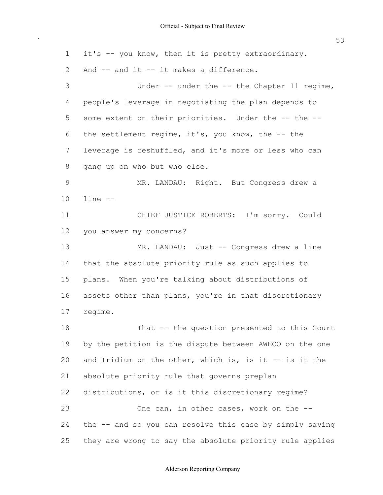it's -- you know, then it is pretty extraordinary. And -- and it -- it makes a difference. people's leverage in negotiating the plan depends to some extent on their priorities. Under the -- the -- the settlement regime, it's, you know, the -- the leverage is reshuffled, and it's more or less who can gang up on who but who else. you answer my concerns? that the absolute priority rule as such applies to plans. When you're talking about distributions of assets other than plans, you're in that discretionary by the petition is the dispute between AWECO on the one and Iridium on the other, which is, is it -- is it the absolute priority rule that governs preplan distributions, or is it this discretionary regime? the -- and so you can resolve this case by simply saying they are wrong to say the absolute priority rule applies 1 2 3 4 5 6 7 8 9 10 11 12 13 14 15 16 17 18 19 20 21 22 23 24 25 Under -- under the -- the Chapter 11 regime, MR. LANDAU: Right. But Congress drew a line -- CHIEF JUSTICE ROBERTS: I'm sorry. Could MR. LANDAU: Just -- Congress drew a line regime. That -- the question presented to this Court One can, in other cases, work on the --

## Alderson Reporting Company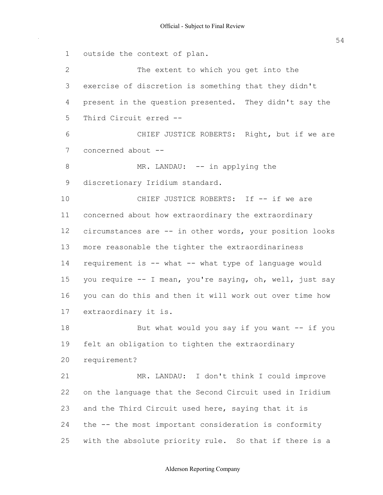outside the context of plan. exercise of discretion is something that they didn't present in the question presented. They didn't say the Third Circuit erred -- concerned about -- discretionary Iridium standard. concerned about how extraordinary the extraordinary circumstances are -- in other words, your position looks more reasonable the tighter the extraordinariness requirement is -- what -- what type of language would you require -- I mean, you're saying, oh, well, just say you can do this and then it will work out over time how extraordinary it is. felt an obligation to tighten the extraordinary on the language that the Second Circuit used in Iridium and the Third Circuit used here, saying that it is the -- the most important consideration is conformity with the absolute priority rule. So that if there is a 1 2 3 4 5 6 7 8 9 10 11 12 13 14 15 16 17 18 19 20 21 22 23 24 25 The extent to which you get into the CHIEF JUSTICE ROBERTS: Right, but if we are MR. LANDAU: -- in applying the CHIEF JUSTICE ROBERTS: If -- if we are But what would you say if you want  $--$  if you requirement? MR. LANDAU: I don't think I could improve

## Alderson Reporting Company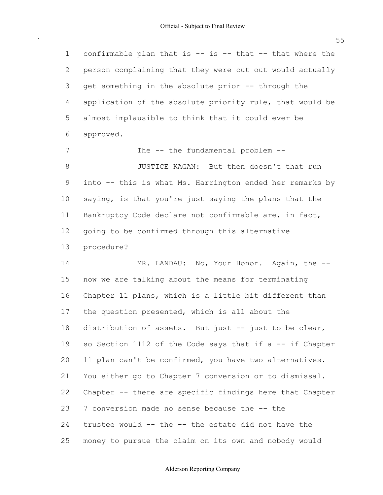confirmable plan that is -- is -- that -- that where the person complaining that they were cut out would actually get something in the absolute prior -- through the application of the absolute priority rule, that would be almost implausible to think that it could ever be 1 2 3 4 5 6 approved.

 into -- this is what Ms. Harrington ended her remarks by saying, is that you're just saying the plans that the Bankruptcy Code declare not confirmable are, in fact, going to be confirmed through this alternative 7 8 9 10 11 12 13 The -- the fundamental problem -- JUSTICE KAGAN: But then doesn't that run procedure?

 now we are talking about the means for terminating Chapter 11 plans, which is a little bit different than the question presented, which is all about the distribution of assets. But just -- just to be clear, so Section 1112 of the Code says that if a -- if Chapter 11 plan can't be confirmed, you have two alternatives. You either go to Chapter 7 conversion or to dismissal. Chapter -- there are specific findings here that Chapter 7 conversion made no sense because the -- the trustee would -- the -- the estate did not have the money to pursue the claim on its own and nobody would 14 15 16 17 18 19 20 21 22 23 24 25 MR. LANDAU: No, Your Honor. Again, the --

#### Alderson Reporting Company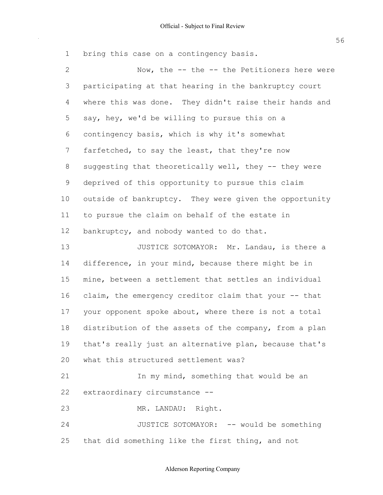bring this case on a contingency basis. 1

 $\bar{\gamma}$ 

| $\mathbf{2}$ | Now, the -- the -- the Petitioners here were           |
|--------------|--------------------------------------------------------|
| 3            | participating at that hearing in the bankruptcy court  |
| 4            | where this was done. They didn't raise their hands and |
| 5            | say, hey, we'd be willing to pursue this on a          |
| 6            | contingency basis, which is why it's somewhat          |
| 7            | farfetched, to say the least, that they're now         |
| 8            | suggesting that theoretically well, they -- they were  |
| $\mathsf 9$  | deprived of this opportunity to pursue this claim      |
| 10           | outside of bankruptcy. They were given the opportunity |
| 11           | to pursue the claim on behalf of the estate in         |
| 12           | bankruptcy, and nobody wanted to do that.              |
| 13           | JUSTICE SOTOMAYOR: Mr. Landau, is there a              |
| 14           | difference, in your mind, because there might be in    |
| 15           | mine, between a settlement that settles an individual  |
| 16           | claim, the emergency creditor claim that your -- that  |
| 17           | your opponent spoke about, where there is not a total  |
| 18           | distribution of the assets of the company, from a plan |
| 19           | that's really just an alternative plan, because that's |
| 20           | what this structured settlement was?                   |
| 21           | In my mind, something that would be an                 |
| 22           | extraordinary circumstance --                          |
| 23           | MR. LANDAU: Right.                                     |
| 24           | JUSTICE SOTOMAYOR: -- would be something               |
| 25           | that did something like the first thing, and not       |

## Alderson Reporting Company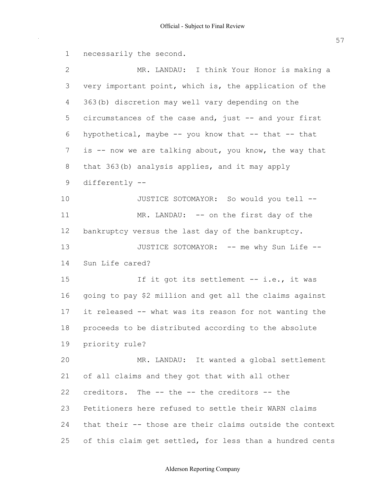necessarily the second. very important point, which is, the application of the 363(b) discretion may well vary depending on the circumstances of the case and, just -- and your first is -- now we are talking about, you know, the way that that 363(b) analysis applies, and it may apply bankruptcy versus the last day of the bankruptcy. Sun Life cared? going to pay \$2 million and get all the claims against it released -- what was its reason for not wanting the proceeds to be distributed according to the absolute of all claims and they got that with all other creditors. The -- the -- the creditors -- the Petitioners here refused to settle their WARN claims that their -- those are their claims outside the context of this claim get settled, for less than a hundred cents 1 2 3 4 5 6 7 8 9 10 11 12 13 14 15 16 17 18 19 20 21 22 23 24 25 MR. LANDAU: I think Your Honor is making a hypothetical, maybe  $-$ - you know that  $-$ - that  $-$ - that differently -- JUSTICE SOTOMAYOR: So would you tell -- MR. LANDAU: -- on the first day of the JUSTICE SOTOMAYOR: -- me why Sun Life --If it got its settlement -- i.e., it was priority rule? MR. LANDAU: It wanted a global settlement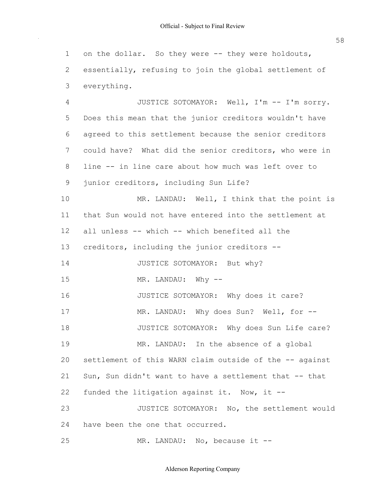on the dollar. So they were -- they were holdouts, essentially, refusing to join the global settlement of 1 2 3 everything.

 Does this mean that the junior creditors wouldn't have agreed to this settlement because the senior creditors could have? What did the senior creditors, who were in line -- in line care about how much was left over to junior creditors, including Sun Life? that Sun would not have entered into the settlement at all unless -- which -- which benefited all the creditors, including the junior creditors - settlement of this WARN claim outside of the -- against Sun, Sun didn't want to have a settlement that -- that funded the litigation against it. Now, it -- have been the one that occurred. 4 5 6 7 8 9 10 11 12 13 14 15 16 17 18 19  $20$ 21 22 23 24 25 JUSTICE SOTOMAYOR: Well, I'm -- I'm sorry. MR. LANDAU: Well, I think that the point is JUSTICE SOTOMAYOR: But why? MR. LANDAU: Why -- JUSTICE SOTOMAYOR: Why does it care? MR. LANDAU: Why does Sun? Well, for --JUSTICE SOTOMAYOR: Why does Sun Life care? MR. LANDAU: In the absence of a global JUSTICE SOTOMAYOR: No, the settlement would MR. LANDAU: No, because it --

Alderson Reporting Company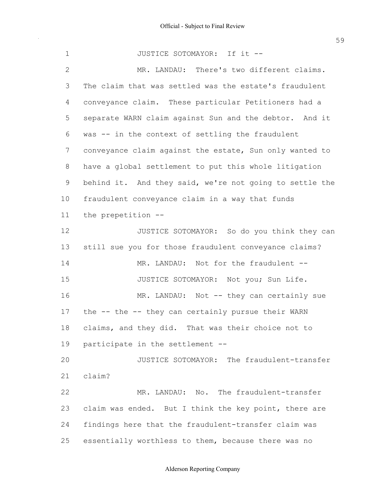The claim that was settled was the estate's fraudulent conveyance claim. These particular Petitioners had a separate WARN claim against Sun and the debtor. And it was -- in the context of settling the fraudulent conveyance claim against the estate, Sun only wanted to have a global settlement to put this whole litigation behind it. And they said, we're not going to settle the fraudulent conveyance claim in a way that funds still sue you for those fraudulent conveyance claims? the -- the -- they can certainly pursue their WARN claims, and they did. That was their choice not to participate in the settlement -- claim was ended. But I think the key point, there are findings here that the fraudulent-transfer claim was 1 2 3 4 5 6 7 8 9 10 11 12 13 14 15 16 17 18 19 20 21 22 23 24 JUSTICE SOTOMAYOR: If it -- MR. LANDAU: There's two different claims. the prepetition -- JUSTICE SOTOMAYOR: So do you think they can MR. LANDAU: Not for the fraudulent --JUSTICE SOTOMAYOR: Not you; Sun Life. MR. LANDAU: Not -- they can certainly sue JUSTICE SOTOMAYOR: The fraudulent-transfer claim? MR. LANDAU: No. The fraudulent-transfer

#### Alderson Reporting Company

essentially worthless to them, because there was no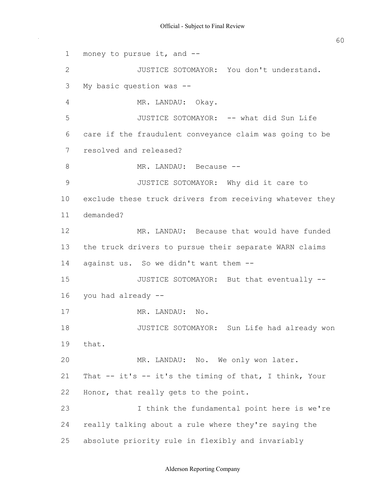money to pursue it, and -- My basic question was -- care if the fraudulent conveyance claim was going to be resolved and released? exclude these truck drivers from receiving whatever they the truck drivers to pursue their separate WARN claims against us. So we didn't want them -- you had already -- That -- it's -- it's the timing of that, I think, Your Honor, that really gets to the point. really talking about a rule where they're saying the absolute priority rule in flexibly and invariably 1 2 3 4 5 6 7 8 9 10 11 12 13 14 15 16 17 18 19 20 21 22 23 24 25 JUSTICE SOTOMAYOR: You don't understand. MR. LANDAU: Okay. JUSTICE SOTOMAYOR: -- what did Sun Life MR. LANDAU: Because -- JUSTICE SOTOMAYOR: Why did it care to demanded? MR. LANDAU: Because that would have funded JUSTICE SOTOMAYOR: But that eventually -- MR. LANDAU: No. JUSTICE SOTOMAYOR: Sun Life had already won that. MR. LANDAU: No. We only won later. I think the fundamental point here is we're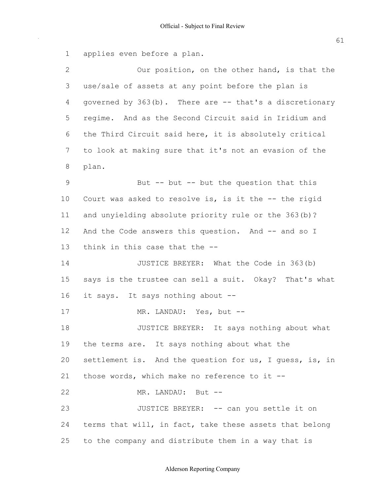applies even before a plan. use/sale of assets at any point before the plan is governed by 363(b). There are -- that's a discretionary regime. And as the Second Circuit said in Iridium and the Third Circuit said here, it is absolutely critical to look at making sure that it's not an evasion of the Court was asked to resolve is, is it the -- the rigid and unyielding absolute priority rule or the 363(b)? And the Code answers this question. And -- and so I think in this case that the -- says is the trustee can sell a suit. Okay? That's what it says. It says nothing about -- the terms are. It says nothing about what the settlement is. And the question for us, I guess, is, in those words, which make no reference to it -- terms that will, in fact, take these assets that belong to the company and distribute them in a way that is 2 3 4 5 6 7 8 9 10 11 12 13 14 15 16 17 18 19 20 21 22 23 24 25 Our position, on the other hand, is that the plan. But  $-$ - but  $-$ - but the question that this JUSTICE BREYER: What the Code in 363(b) MR. LANDAU: Yes, but -- JUSTICE BREYER: It says nothing about what MR. LANDAU: But --JUSTICE BREYER: -- can you settle it on

# Alderson Reporting Company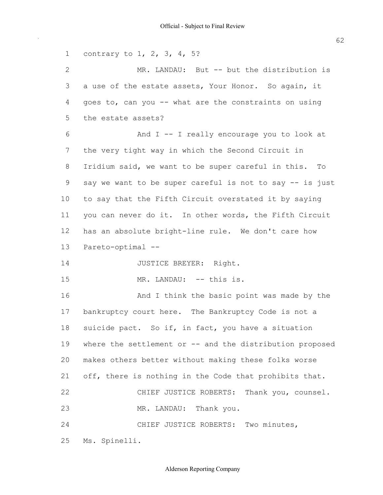contrary to 1, 2, 3, 4, 5? a use of the estate assets, Your Honor. So again, it goes to, can you -- what are the constraints on using the estate assets? the very tight way in which the Second Circuit in Iridium said, we want to be super careful in this. To say we want to be super careful is not to say -- is just to say that the Fifth Circuit overstated it by saying you can never do it. In other words, the Fifth Circuit has an absolute bright-line rule. We don't care how bankruptcy court here. The Bankruptcy Code is not a suicide pact. So if, in fact, you have a situation where the settlement or -- and the distribution proposed makes others better without making these folks worse off, there is nothing in the Code that prohibits that. 1 2 3 4 5 6 7 8 9 10 11 12 13 14 15 16 17 18 19 20 21 22 23 24 25 MR. LANDAU: But -- but the distribution is And I -- I really encourage you to look at Pareto-optimal -- JUSTICE BREYER: Right. MR. LANDAU: -- this is. And I think the basic point was made by the CHIEF JUSTICE ROBERTS: Thank you, counsel. MR. LANDAU: Thank you. CHIEF JUSTICE ROBERTS: Two minutes, Ms. Spinelli.

## Alderson Reporting Company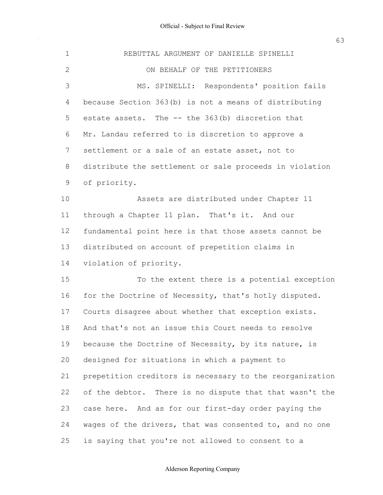$\sim$ 

| $\mathbf 1$  | REBUTTAL ARGUMENT OF DANIELLE SPINELLI                   |
|--------------|----------------------------------------------------------|
| $\mathbf{2}$ | ON BEHALF OF THE PETITIONERS                             |
| 3            | MS. SPINELLI: Respondents' position fails                |
| 4            | because Section 363(b) is not a means of distributing    |
| 5            | estate assets. The -- the 363(b) discretion that         |
| 6            | Mr. Landau referred to is discretion to approve a        |
| 7            | settlement or a sale of an estate asset, not to          |
| 8            | distribute the settlement or sale proceeds in violation  |
| $\mathsf 9$  | of priority.                                             |
| 10           | Assets are distributed under Chapter 11                  |
| 11           | through a Chapter 11 plan. That's it. And our            |
| 12           | fundamental point here is that those assets cannot be    |
| 13           | distributed on account of prepetition claims in          |
| 14           | violation of priority.                                   |
| 15           | To the extent there is a potential exception             |
| 16           | for the Doctrine of Necessity, that's hotly disputed.    |
| 17           | Courts disagree about whether that exception exists.     |
| 18           | And that's not an issue this Court needs to resolve      |
| 19           | because the Doctrine of Necessity, by its nature, is     |
| 20           | designed for situations in which a payment to            |
| 21           | prepetition creditors is necessary to the reorganization |
| 22           | of the debtor. There is no dispute that that wasn't the  |
| 23           | case here. And as for our first-day order paying the     |
| 24           | wages of the drivers, that was consented to, and no one  |
| 25           | is saying that you're not allowed to consent to a        |

## Alderson Reporting Company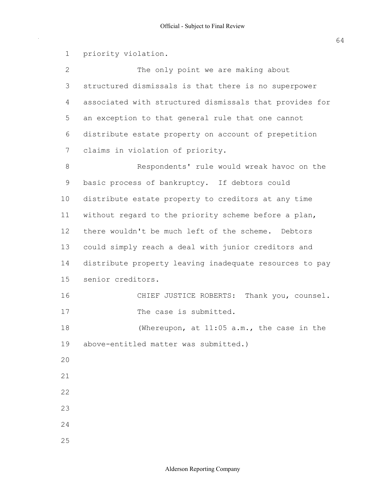structured dismissals is that there is no superpower associated with structured dismissals that provides for an exception to that general rule that one cannot distribute estate property on account of prepetition claims in violation of priority. basic process of bankruptcy. If debtors could distribute estate property to creditors at any time without regard to the priority scheme before a plan, there wouldn't be much left of the scheme. Debtors could simply reach a deal with junior creditors and distribute property leaving inadequate resources to pay above-entitled matter was submitted.) 1 2 3 4 5 6 7 8 9 10 11 12 13 14 15 16 17 18 19 20 21 22 23 24 25 priority violation. The only point we are making about Respondents' rule would wreak havoc on the senior creditors. CHIEF JUSTICE ROBERTS: Thank you, counsel. The case is submitted. (Whereupon, at 11:05 a.m., the case in the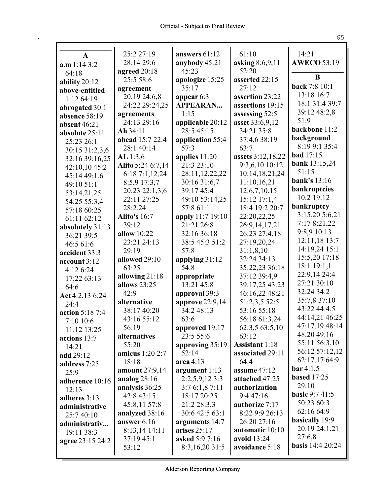| A                         | 25:2 27:19                 | answers $61:12$                | 61:10                         | 14:21                   |
|---------------------------|----------------------------|--------------------------------|-------------------------------|-------------------------|
| $a.m$ 1:14 3:2            | 28:14 29:6                 | anybody 45:21                  | asking 8:6,9,11               | <b>AWECO 53:19</b>      |
| 64:18                     | agreed 20:18               | 45:23                          | 52:20                         | B                       |
| ability $20:12$           | 25:5 58:6                  | apologize 15:25                | asserted 22:15                | back 7:8 10:1           |
| above-entitled            | agreement                  | 35:17                          | 27:12                         | 13:18 16:7              |
| 1:12 64:19                | 20:19 24:6,8               | appear 6:3                     | assertion 23:22               | 18:1 31:4 39:7          |
| abrogated 30:1            | 24:22 29:24,25             | <b>APPEARAN</b>                | assertions 19:15              | 39:12 48:2,8            |
| absence 58:19             | agreements<br>24:13 29:16  | 1:15                           | assessing 52:5                | 51:9                    |
| absent 46:21              |                            | applicable 20:12<br>28:5 45:15 | asset 33:6,9,12<br>34:21 35:8 | backbone 11:2           |
| absolute 25:11            | Ah34:11<br>ahead 15:7 22:4 |                                |                               | background              |
| 25:23 26:1                | 28:1 40:14                 | application 55:4<br>57:3       | 37:4,6 38:19<br>63:7          | 8:19 9:1 35:4           |
| 30:15 31:2,3,6            | AL 1:3,6                   | applies 11:20                  | assets 3:12,18,22             | <b>bad</b> 17:15        |
| 32:16 39:16,25            | Alito 5:24 6:7,14          | 21:3 23:10                     | 9:3,6,10 10:12                | <b>bank</b> 13:15,24    |
| 42:10,10 45:2             | 6:187:1,12,24              | 28:11,12,22,22                 | 10:14,18,21,24                | 51:15                   |
| 45:14 49:1,6              | 8:5,9 17:3,7               | 30:16 31:6,7                   | 11:10,16,21                   | <b>bank's</b> 13:16     |
| 49:10 51:1                | 20:23 22:1,3,6             | 39:17 45:4                     | 12:6,7,10,15                  | <b>bankruptcies</b>     |
| 53:14,21,25               | 22:11 27:25                | 49:10 53:14,25                 | 15:12 17:1,4                  | 10:2 19:12              |
| 54:25 55:3,4              | 28:2,24                    | 57:8 61:1                      | 18:4 19:2 20:7                | bankruptcy              |
| 57:18 60:25               | <b>Alito's 16:7</b>        | apply 11:7 19:10               | 22:20,22,25                   | 3:15,20 5:6,21          |
| 61:11 62:12               | 39:12                      | 21:21 26:8                     | 26:9,14,17,21                 | 7:17 8:21,22            |
| absolutely 31:13          | allow 10:22                | 32:16 36:18                    | 26:23 27:4,18                 | 9:8,9 10:13             |
| 36:21 39:5                | 23:21 24:13                | 38:5 45:3 51:2                 | 27:19,20,24                   | 12:11,18 13:7           |
| 46:5 61:6                 | 29:19                      | 57:8                           | 31:1,8,10                     | 14:19,24 15:1           |
| accident 33:3             | allowed 29:10              | applying 31:12                 | 32:24 34:13                   | 15:5,20 17:18           |
| account 3:12<br>4:12 6:24 | 63:25                      | 54:8                           | 35:22,23 36:18                | 18:1 19:1,1             |
| 17:22 63:13               | allowing $21:18$           | appropriate                    | 37:12 39:4,9                  | 22:9,14 24:4            |
| 64:6                      | allows 23:25               | 13:21 45:8                     | 39:17,25 43:23                | 27:21 30:10             |
| Act 4:2,13 6:24           | 42:9                       | approval 39:3                  | 46:16,22 48:21                | 32:24 34:2              |
| 24:4                      | alternative                | approve 22:9,14                | 51:2,3,5 52:5                 | 35:7,8 37:10            |
| action 5:18 7:4           | 38:17 40:20                | 34:2 48:13                     | 53:16 55:18                   | 43:22 44:4,5            |
| 7:10 10:6                 | 43:16 55:12                | 63:6                           | 56:18 61:3,24                 | 44:14,21 46:25          |
| 11:12 13:25               | 56:19                      | approved 19:17                 | 62:3,5 63:5,10                | 47:17,19 48:14          |
| actions 13:7              | alternatives               | 23:5 55:6                      | 63:12                         | 48:20 49:16             |
| 14:21                     | 55:20                      | approving 35:19                | <b>Assistant 1:18</b>         | 55:11 56:3,10           |
| add 29:12                 | <b>amicus</b> 1:20 2:7     | 52:14                          | associated 29:11              | 56:12 57:12,12          |
| address 7:25              | 18:18                      | area 4:13                      | 64:4                          | 62:17,17 64:9           |
| 25:9                      | amount 27:9,14             | argument 1:13                  | assume $47:12$                | bar 4:1,5               |
| adherence 10:16           | analog $28:16$             | $2:2,5,9,12$ 3:3               | attached 47:25                | <b>based</b> 17:25      |
| 12:13                     | analysis 36:25             | 3:76:1,87:11                   | authorization                 | 29:10                   |
| adheres 3:13              | 42:8 43:15                 | 18:17 20:25                    | 9:447:16                      | <b>basic 9:7 41:5</b>   |
| administrative            | 45:8,11 57:8               | 21:2 28:3,3                    | authorize 7:17                | 50:23 60:3              |
| 25:7 40:10                | analyzed 38:16             | 30:6 42:5 63:1                 | 8:22 9:9 26:13                | 62:16 64:9              |
| administrativ             | answer 6:16                | arguments 14:7                 | 26:20 27:16                   | basically 19:9          |
| 19:11 38:3                | 8:13,14 14:11              | arises $25:17$                 | automatic 10:10               | 20:19 24:1,21           |
| agree 23:15 24:2          | 37:1945:1                  | asked 5:9 7:16                 | avoid 13:24                   | 27:6,8                  |
|                           | 53:12                      | 8:3,16,20 31:5                 | avoidance 5:18                | <b>basis</b> 14:4 20:24 |
|                           |                            |                                |                               |                         |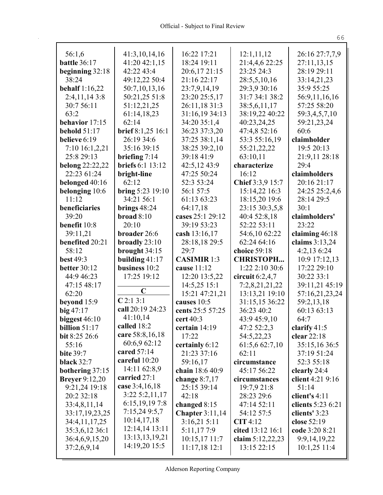| 56:1,6                 | 41:3,10,14,16           | 16:22 17:21                    | 12:1,11,12                  | 26:16 27:7,7,9      |
|------------------------|-------------------------|--------------------------------|-----------------------------|---------------------|
| <b>battle</b> 36:17    | 41:20 42:1,15           | 18:24 19:11                    | 21:4,4,6 22:25              | 27:11,13,15         |
| beginning 32:18        | 42:22 43:4              | 20:6,17 21:15                  | 23:25 24:3                  | 28:19 29:11         |
| 38:24                  | 49:12,22 50:4           | 21:16 22:17                    | 28:5,5,10,16                | 33:14,21,23         |
| <b>behalf</b> 1:16,22  | 50:7,10,13,16           | 23:7,9,14,19                   | 29:3,9 30:16                | 35:9 55:25          |
| 2:4,11,143:8           | 50:21,25 51:8           | 23:20 25:5,17                  | 31:7 34:1 38:2              | 56:9,11,16,16       |
| 30:7 56:11             | 51:12,21,25             | 26:11,18 31:3                  | 38:5,6,11,17                | 57:25 58:20         |
| 63:2<br>behavior 17:15 | 61:14,18,23<br>62:14    | 31:16,19 34:13<br>34:20 35:1,4 | 38:19,22 40:22              | 59:3,4,5,7,10       |
| behold $51:17$         | brief 8:1,25 16:1       | 36:23 37:3,20                  | 40:23,24,25<br>47:4,8 52:16 | 59:21,23,24<br>60:6 |
| believe 6:19           | 26:19 34:6              | 37:25 38:1,14                  | 53:3 55:16,19               | claimholder         |
| 7:10 16:1,2,21         | 35:16 39:15             | 38:25 39:2,10                  | 55:21,22,22                 | 19:5 20:13          |
| 25:8 29:13             | briefing $7:14$         | 39:18 41:9                     | 63:10,11                    | 21:9,11 28:18       |
| <b>belong</b> 22:22,22 | <b>briefs</b> 6:1 13:12 | 42:5,12 43:9                   | characterize                | 29:4                |
| 22:23 61:24            | bright-line             | 47:25 50:24                    | 16:12                       | claimholders        |
| belonged 40:16         | 62:12                   | 52:3 53:24                     | Chief 3:3,9 15:7            | 20:16 21:17         |
| belonging 10:6         | bring 5:23 19:10        | 56:1 57:5                      | 15:14,22 16:3               | 24:25 25:2,4,6      |
| 11:12                  | 34:21 56:1              | 61:13 63:23                    | 18:15,20 19:6               | 28:14 29:5          |
| beneficiaries          | brings $48:24$          | 64:17,18                       | 23:15 30:3,5,8              | 30:1                |
| 39:20                  | broad 8:10              | cases 25:1 29:12               | 40:4 52:8,18                | claimholders'       |
| benefit 10:8           | 20:10                   | 39:19 53:23                    | 52:22 53:11                 | 23:22               |
| 39:11,21               | broader 26:6            | cash 13:16,17                  | 54:6,10 62:22               | claiming 46:18      |
| benefited 20:21        | broadly $23:10$         | 28:18,18 29:5                  | 62:24 64:16                 | claims 3:13,24      |
| 58:12                  | brought 34:15           | 29:7                           | choice 59:18                | 4:2,13 6:24         |
| <b>best 49:3</b>       | building 41:17          | <b>CASIMIR 1:3</b>             | <b>CHRISTOPH</b>            | 10:9 17:12,13       |
| <b>better 30:12</b>    | business 10:2           | cause 11:12                    | 1:22 2:10 30:6              | 17:22 29:10         |
| 44:9 46:23             | 17:25 19:12             | 12:20 13:5,22                  | circuit $6:2,4,7$           | 30:22 33:1          |
| 47:15 48:17            |                         | 14:5,25 15:1                   | 7:2,8,21,21,22              | 39:11,21 45:19      |
| 62:20                  | $\mathbf C$             | 15:21 47:21,21                 | 13:13,21 19:10              | 57:16,21,23,24      |
| beyond 15:9            | C2:13:1                 | causes 10:5                    | 31:15,15 36:22              | 59:2,13,18          |
| big $47:17$            | call 20:19 24:23        | cents 25:5 57:25               | 36:23 40:2                  | 60:13 63:13         |
| biggest $46:10$        | 41:10,14                | cert 40:3                      | 43:9 45:9,10                | 64:7                |
| billion $51:17$        | called 18:2             | certain 14:19                  | 47:2 52:2,3                 | clarify 41:5        |
| bit 8:25 26:6          | care 58:8, 16, 18       | 17:22                          | 54:5,22,23                  | clear 22:18         |
| 55:16                  | 60:6,9 62:12            | certainly 6:12                 | 61:5,6 62:7,10              | 35:15,16 36:5       |
| <b>bite 39:7</b>       | cared 57:14             | 21:23 37:16                    | 62:11                       | 37:19 51:24         |
| black $32:7$           | careful 10:20           | 59:16,17                       | circumstance                | 52:3 55:18          |
| bothering $37:15$      | 14:11 62:8,9            | chain 18:6 40:9                | 45:17 56:22                 | clearly 24:4        |
| <b>Breyer</b> 9:12,20  | carried 27:1            | change $8:7,17$                | circumstances               | client 4:21 9:16    |
| 9:21,24 19:18          | case 3:4,16,18          | 25:15 39:14                    | 19:7,9 21:8                 | 51:14               |
| 20:2 32:18             | $3:22\;5:2,11,17$       | 42:18                          | 28:23 29:6                  | client's $4:11$     |
| 33:4,8,11,14           | 6:15,19,19 7:8          | changed 8:15                   | 47:14 52:11                 | clients 5:23 6:21   |
| 33:17,19,23,25         | 7:15,24 9:5,7           | <b>Chapter 3:11,14</b>         | 54:12 57:5                  | clients' 3:23       |
| 34:4,11,17,25          | 10:14,17,18             | 3:16,215:11                    | CIT 4:12                    | close 52:19         |
| 35:3,6,12 36:1         | 12:14,14 13:11          | 5:11,177:9                     | cited 13:12 16:1            | code 3:20 8:21      |
| 36:4,6,9,15,20         | 13:13,13,19,21          | 10:15,17 11:7                  | claim 5:12,22,23            | 9:9,14,19,22        |
| 37:2,6,9,14            | 14:19,20 15:5           | $11:17,18$ 12:1                | 13:15 22:15                 | 10:1,25 11:4        |
|                        |                         |                                |                             |                     |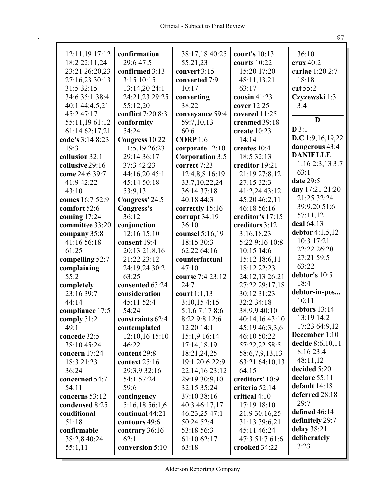| 12:11,19 17:12   | confirmation      | 38:17,18 40:25         | court's 10:13    | 36:10             |
|------------------|-------------------|------------------------|------------------|-------------------|
| 18:2 22:11,24    | 29:6 47:5         | 55:21,23               | courts $10:22$   | crux $40:2$       |
| 23:21 26:20,23   | confirmed 3:13    | convert 3:15           | 15:20 17:20      | curiae 1:20 2:7   |
| 27:16,23 30:13   | 3:15 10:15        | converted 7:9          | 48:11,13,21      | 18:18             |
| 31:5 32:15       | 13:14,20 24:1     | 10:17                  | 63:17            | cut 55:2          |
| 34:6 35:1 38:4   | 24:21,23 29:25    | converting             | cousin $41:23$   | Czyzewski 1:3     |
| 40:1 44:4,5,21   | 55:12,20          | 38:22                  | cover 12:25      | 3:4               |
| 45:2 47:17       | conflict 7:20 8:3 | conveyance 59:4        | covered 11:25    |                   |
| 55:11,1961:12    | conformity        | 59:7,10,13             | creamed 39:18    | D                 |
| 61:14 62:17,21   | 54:24             | 60:6                   | create 10:23     | D3:1              |
| code's 3:14 8:23 | Congress 10:22    | <b>CORP</b> 1:6        | 14:14            | D.C 1:9,16,19,22  |
| 19:3             | 11:5,19 26:23     | corporate 12:10        | creates 10:4     | dangerous 43:4    |
| collusion 32:1   | 29:14 36:17       | <b>Corporation 3:5</b> | 18:5 32:13       | <b>DANIELLE</b>   |
| collusive 29:16  | 37:3 42:23        | correct 7:23           | creditor 19:21   | 1:16 2:3,13 3:7   |
| come 24:6 39:7   | 44:16,20 45:1     | 12:4,8,8 16:19         | 21:19 27:8,12    | 63:1              |
| 41:9 42:22       | 45:14 50:18       | 33:7,10,22,24          | 27:15 32:3       | date 29:5         |
| 43:10            | 53:9,13           | 36:14 37:18            | 41:2,24 43:12    | day 17:21 21:20   |
| comes 16:7 52:9  | Congress' 24:5    | 40:18 44:3             | 45:20 46:2,11    | 21:25 32:24       |
| comfort 52:6     | Congress's        | correctly 15:16        | 46:18 56:16      | 39:9,20 51:6      |
| coming 17:24     | 36:12             | corrupt 34:19          | creditor's 17:15 | 57:11,12          |
| committee 33:20  |                   | 36:10                  | creditors 3:12   | deal 64:13        |
|                  | conjunction       |                        |                  | debtor $4:1,5,12$ |
| company 35:8     | 12:16 15:10       | counsel 5:16,19        | 3:16,18,23       | 10:3 17:21        |
| 41:16 56:18      | consent 19:4      | 18:15 30:3             | 5:22 9:16 10:8   | 22:22 26:20       |
| 61:25            | 20:13 21:8,16     | 62:22 64:16            | 10:15 14:6       | 27:21 59:5        |
| compelling 52:7  | 21:22 23:12       | counterfactual         | 15:12 18:6,11    | 63:22             |
| complaining      | 24:19,24 30:2     | 47:10                  | 18:12 22:23      | debtor's 10:5     |
| 55:2             | 63:25             | course 7:4 23:12       | 24:12,13 26:21   |                   |
| completely       | consented 63:24   | 24:7                   | 27:22 29:17,18   | 18:4              |
| 23:16 39:7       | consideration     | court $1:1,13$         | 30:12 31:23      | debtor-in-pos     |
| 44:14            | 45:11 52:4        | 3:10,154:15            | 32:2 34:18       | 10:11             |
| compliance 17:5  | 54:24             | 5:1,67:178:6           | 38:9,9 40:10     | debtors 13:14     |
| comply 31:2      | constraints 62:4  | 8:22 9:8 12:6          | 40:14,16 43:10   | 13:19 14:2        |
| 49:1             | contemplated      | 12:20 14:1             | 45:19 46:3,3,6   | 17:23 64:9,12     |
| concede 32:5     | 12:10,16 15:10    | 15:1,9 16:14           | 46:10 50:22      | December 1:10     |
| 38:10 45:24      | 46:22             | 17:14,18,19            | 57:22,22 58:5    | decide 8:6,10,11  |
| concern 17:24    | content 29:8      | 18:21,24,25            | 58:6,7,9,13,13   | 8:16 23:4         |
| 18:3 21:23       | context 25:16     | 19:1 20:6 22:9         | 63:21 64:10,13   | 48:11,12          |
| 36:24            | 29:3,9 32:16      | 22:14,16 23:12         | 64:15            | decided 5:20      |
| concerned 54:7   | 54:1 57:24        | 29:19 30:9,10          | creditors' 10:9  | declare 55:11     |
| 54:11            | 59:6              | 32:15 35:24            | criteria 52:14   | default 14:18     |
| concerns 53:12   | contingency       | 37:10 38:16            | critical 4:10    | deferred 28:18    |
| condensed 8:25   | 5:16,18 56:1,6    | 40:3 46:17,17          | 17:19 18:10      | 29:7              |
| conditional      | continual 44:21   | 46:23,25 47:1          | 21:9 30:16,25    | defined 46:14     |
| 51:18            | contours 49:6     | 50:24 52:4             | 31:13 39:6,21    | definitely 29:7   |
| confirmable      | contrary 36:16    | 53:18 56:3             | 45:11 46:24      | delay 38:21       |
| 38:2,8 40:24     | 62:1              | 61:10 62:17            | 47:3 51:7 61:6   | deliberately      |
| 55:1,11          | conversion 5:10   | 63:18                  | crooked 34:22    | 3:23              |
|                  |                   |                        |                  |                   |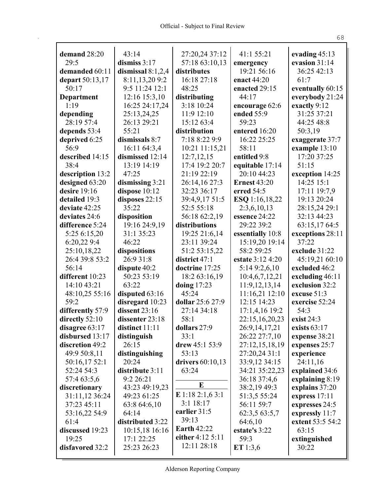| demand 28:20                | 43:14                    | 27:20,24 37:12            | 41:1 55:21                     | evading $45:13$                   |
|-----------------------------|--------------------------|---------------------------|--------------------------------|-----------------------------------|
| 29:5                        | dismiss $3:17$           | 57:18 63:10,13            | emergency                      | evasion 31:14                     |
| demanded 60:11              | dismissal $8:1,2,4$      | distributes               | 19:21 56:16                    | 36:25 42:13                       |
| depart 50:13,17             | 8:11,13,209:2            | 16:18 27:18               | enact 44:20                    | 61:7                              |
| 50:17                       | 9:5 11:24 12:1           | 48:25                     | enacted 29:15                  | eventually 60:15                  |
| Department                  | 12:16 15:3,10            | distributing              | 44:17                          | everybody 21:24                   |
| 1:19                        | 16:25 24:17,24           | 3:18 10:24                | encourage 62:6                 | exactly 9:12                      |
| depending                   | 25:13,24,25              | 11:9 12:10                | ended 55:9                     | 31:25 37:21                       |
| 28:19 57:4                  | 26:13 29:21              | 15:12 63:4                | 59:23                          | 44:25 48:8                        |
| depends 53:4                | 55:21                    | distribution              | entered 16:20                  | 50:3,19                           |
| deprived 6:25               | dismissals 8:7           | 7:18 8:22 9:9             | 16:22 25:25                    | exaggerate 37:7                   |
| 56:9                        | 16:11 64:3,4             | 10:21 11:15,21            | 58:11                          | example 13:10                     |
| described 14:15             | dismissed 12:14          | 12:7,12,15                | entitled 9:8                   | 17:20 37:25                       |
| 38:4                        | 13:19 14:19              | 17:4 19:2 20:7            | equitable 17:14                | 51:15                             |
| description 13:2            | 47:25                    | 21:19 22:19               | 20:10 44:23                    | exception 14:25                   |
| designed 63:20              | dismissing $3:21$        | 26:14,16 27:3             | <b>Ernest 43:20</b>            | 14:25 15:1                        |
| desire $19:16$              | dispose 10:12            | 32:23 36:17               | erred 54:5                     | 17:11 19:7,9                      |
| detailed 19:3               | disposes 22:15           | 39:4,9,17 51:5            | <b>ESQ</b> 1:16,18,22          | 19:13 20:24                       |
| deviate 42:25               | 35:22                    | 52:5 55:18                | 2:3,6,10,13                    | 28:15,24 29:1                     |
| deviates 24:6               | disposition              | 56:18 62:2,19             | essence 24:22                  | 32:13 44:23                       |
| difference 5:24             | 19:16 24:9,19            | distributions             | 29:22 39:2                     | 63:15,17 64:5                     |
| 5:25 6:15,20                | 31:1 35:23               | 19:25 21:6,14             | essentially 10:8               | exceptions 28:11                  |
| 6:20,22 9:4                 | 46:22                    | 23:11 39:24               | 15:19,20 19:14                 | 37:22                             |
| 25:10,18,22                 | dispositions             | 51:2 53:15,22             | 58:2 59:25                     | exclude 31:22                     |
| 26:4 39:8 53:2              | 26:9 31:8                | district 47:1             | estate 3:12 4:20               | 45:19,21 60:10                    |
| 56:14                       | dispute 40:2             | doctrine 17:25            | 5:14 9:2,6,10                  | excluded 46:2                     |
| different 10:23             | 50:23 53:19              | 18:2 63:16,19             | 10:4,6,7,12,21                 | excluding 46:11                   |
| 14:10 43:21                 | 63:22                    | doing $17:23$             | 11:9,12,13,14                  | exclusion 32:2                    |
| 48:10,25 55:16              | disputed 63:16           | 45:24                     | 11:16,21 12:10                 | excuse 51:3                       |
| 59:2                        | disregard 10:23          | dollar 25:6 27:9          | 12:15 14:23                    | exercise 52:24                    |
| differently 57:9            | dissent $23:16$          | 27:14 34:18               | 17:1,4,16 19:2                 | 54:3                              |
| directly 52:10              | dissenter 23:18          | 58:1                      | 22:15,16,20,23                 | exist 24:3                        |
| disagree $63:17$            | distinct $11:11$         | dollars 27:9              | 26:9, 14, 17, 21               | exists $63:17$                    |
| disbursed 13:17             | distinguish              | 33:1                      | 26:22 27:7,10                  | expense 38:21                     |
| discretion 49:2             | 26:15                    | drew $45:153:9$<br>53:13  | 27:12,15,18,19                 | expenses 25:7                     |
| 49:9 50:8,11                | distinguishing           |                           | 27:20,24 31:1                  | experience                        |
| 50:16,17 52:1<br>52:24 54:3 | 20:24<br>distribute 3:11 | drivers 60:10,13<br>63:24 | 33:9,12 34:15                  | 24:11,16                          |
| 57:4 63:5,6                 | 9:2 26:21                |                           | 34:21 35:22,23<br>36:18 37:4,6 | explained 34:6<br>explaining 8:19 |
| discretionary               | 43:23 49:19,23           | E                         | 38:2,19 49:3                   | explains 37:20                    |
| 31:11,12 36:24              | 49:23 61:25              | E 1:18 2:1,6 3:1          | 51:3,5 55:24                   | express 17:11                     |
| 37:23 45:11                 | 63:8 64:6,10             | 3:1 18:17                 | 56:11 59:7                     | expresses 24:5                    |
| 53:16,22 54:9               | 64:14                    | earlier 31:5              | 62:3,5 63:5,7                  | expressly 11:7                    |
| 61:4                        | distributed 3:22         | 39:13                     | 64:6,10                        | extent 53:5 54:2                  |
| discussed 19:23             | 10:15,18 16:16           | <b>Earth 42:22</b>        | estate's 3:22                  | 63:15                             |
| 19:25                       | 17:1 22:25               | either 4:12 5:11          | 59:3                           | extinguished                      |
| disfavored 32:2             | 25:23 26:23              | 12:11 28:18               | ET $1:3,6$                     | 30:22                             |
|                             |                          |                           |                                |                                   |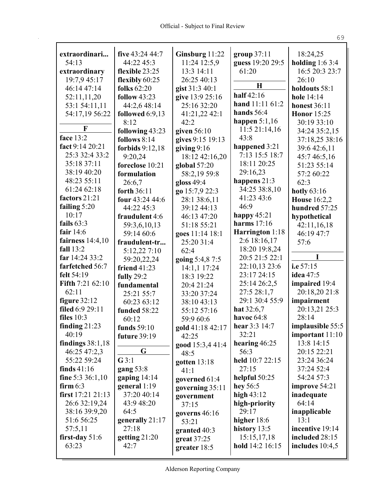| extraordinari           | five $43:24\,44:7$          | Ginsburg 11:22                | group $37:11$                    | 18:24,25            |
|-------------------------|-----------------------------|-------------------------------|----------------------------------|---------------------|
| 54:13                   | 44:22 45:3                  | 11:24 12:5,9                  | guess 19:20 29:5                 | holding $1:63:4$    |
| extraordinary           | flexible 23:25              | 13:3 14:11                    | 61:20                            | 16:5 20:3 23:7      |
| 19:7,9 45:17            | flexibly 60:25              | 26:25 40:13                   | H                                | 26:10               |
| 46:14 47:14             | folks $62:20$               | gist 31:3 40:1                | half $42:16$                     | holdouts 58:1       |
| 52:11,11,20             | <b>follow</b> 43:23         | give 13:9 25:16               | hand 11:11 61:2                  | hole 14:14          |
| 53:1 54:11,11           | 44:2,6 48:14                | 25:16 32:20                   | hands $56:4$                     | <b>honest 36:11</b> |
| 54:17,19 56:22          | followed $6:9,13$           | 41:21,22 42:1                 |                                  | <b>Honor</b> 15:25  |
| F                       | 8:12                        | 42:2                          | happen $5:1,16$<br>11:5 21:14,16 | 30:19 33:10         |
| face 13:2               | following 43:23             | given 56:10                   | 43:8                             | 34:24 35:2,15       |
| fact 9:14 20:21         | follows $8:14$              | gives 9:15 19:13              | happened 3:21                    | 37:18,25 38:16      |
| 25:3 32:4 33:2          | forbids 9:12,18             | giving $9:16$                 | 7:13 15:5 18:7                   | 39:6 42:6,11        |
| 35:18 37:11             | 9:20,24                     | 18:12 42:16,20                | 18:11 20:25                      | 45:7 46:5,16        |
| 38:19 40:20             | foreclose 10:21             | global 57:20                  | 29:16,23                         | 51:23 55:14         |
| 48:23 55:11             | formulation                 | 58:2,19 59:8                  | happens 21:3                     | 57:2 60:22          |
| 61:24 62:18             | 26:6.7<br>forth 36:11       | gloss $49:4$                  | 34:25 38:8,10                    | 62:3                |
| factors 21:21           |                             | go 15:7,9 22:3                | 41:23 43:6                       | hotly $63:16$       |
| failing $5:20$          | four 43:24 44:6             | 28:1 38:6,11                  | 46:9                             | <b>House</b> 16:2,2 |
| 10:17                   | 44:22 45:3                  | 39:12 44:13<br>46:13 47:20    | happy $45:21$                    | hundred 57:25       |
| fails $63:3$            | fraudulent 4:6              |                               | harms $17:16$                    | hypothetical        |
| fair $14:6$             | 59:3,6,10,13                | 51:18 55:21                   | Harrington 1:18                  | 42:11,16,18         |
| fairness $14:4,10$      | 59:14 60:6                  | goes 11:14 18:1<br>25:20 31:4 | 2:6 18:16,17                     | 46:19 47:7<br>57:6  |
| fall 13:2               | fraudulent-tr               | 62:4                          | 18:20 19:8,24                    |                     |
| far 14:24 33:2          | 5:12,22 7:10<br>59:20,22,24 | going 5:4,8 7:5               | 20:5 21:5 22:1                   | I                   |
| farfetched 56:7         | friend $41:23$              | 14:1,1 17:24                  | 22:10,13 23:6                    | i.e $57:15$         |
| felt 54:19              | fully 29:2                  | 18:3 19:22                    | 23:17 24:15                      | idea 47:5           |
| <b>Fifth 7:21 62:10</b> | fundamental                 | 20:4 21:24                    | 25:14 26:2,5                     | impaired 19:4       |
| 62:11                   | 25:21 55:7                  | 33:20 37:24                   | 27:5 28:1,7                      | 20:18,20 21:8       |
| figure $32:12$          | 60:23 63:12                 | 38:10 43:13                   | 29:1 30:4 55:9                   | impairment          |
| filed 6:9 29:11         | funded 58:22                | 55:12 57:16                   | hat $32:6,7$                     | 20:13,21 25:3       |
| files $10:3$            | 60:12                       | 59:9 60:6                     | havoc 64:8                       | 28:14               |
| finding $21:23$         | funds 59:10                 | gold 41:18 42:17              | hear $3:3$ 14:7                  | implausible 55:5    |
| 40:19                   | future 39:19                | 42:25                         | 32:21                            | important 11:10     |
| findings $38:1,18$      |                             | good 15:3,4 41:4              | hearing $46:25$                  | 13:8 14:15          |
| 46:25 47:2,3            | G                           | 48:5                          | 56:3                             | 20:15 22:21         |
| 55:22 59:24             | G3:1                        | gotten $13:18$                | held 10:7 22:15                  | 23:24 36:24         |
| finds $41:16$           | gang 53:8                   | 41:1                          | 27:15                            | 37:24 52:4          |
| fine 5:3 36:1,10        | gaping $14:14$              | governed 61:4                 | helpful 50:25                    | 54:24 57:3          |
| firm $6:3$              | general $1:19$              | governing 35:11               | hey $56:5$                       | improve 54:21       |
| first 17:21 21:13       | 37:20 40:14                 | government                    | high $43:12$                     | inadequate          |
| 26:6 32:19,24           | 43:9 48:20                  | 37:15                         | high-priority                    | 64:14               |
| 38:16 39:9,20           | 64:5                        | governs 46:16                 | 29:17                            | inapplicable        |
| 51:6 56:25              | generally 21:17             | 53:21                         | higher 18:6                      | 13:1                |
| 57:5,11                 | 27:18                       | granted 40:3                  | history $13:5$                   | incentive 19:14     |
| first-day $51:6$        | getting $21:20$             | $gr$ eat 37:25                | 15:15,17,18                      | included 28:15      |
| 63:23                   | 42:7                        | greater 18:5                  | hold 14:2 16:15                  | includes $10:4,5$   |
|                         |                             |                               |                                  |                     |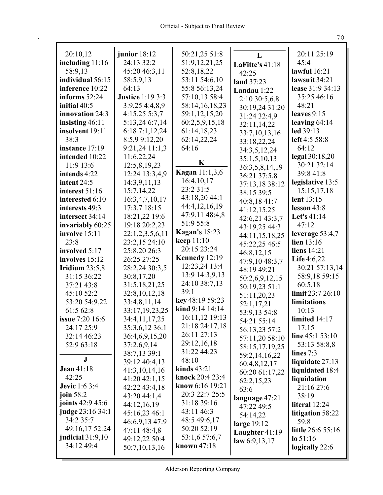| 20:10,12               | junior $18:12$          | 50:21,25 51:8           |                 | 20:11 25:19       |
|------------------------|-------------------------|-------------------------|-----------------|-------------------|
| including $11:16$      | 24:13 32:2              | 51:9,12,21,25           | L               | 45:4              |
| 58:9,13                | 45:20 46:3,11           | 52:8,18,22              | LaFitte's 41:18 | lawful 16:21      |
| individual 56:15       | 58:5,9,13               | 53:11 54:6,10           | 42:25           | lawsuit 34:21     |
| inference 10:22        | 64:13                   | 55:8 56:13,24           | land 37:23      | lease 31:9 34:13  |
| informs 52:24          | <b>Justice 1:19 3:3</b> | 57:10,13 58:4           | Landau 1:22     | 35:25 46:16       |
| initial 40:5           | 3:9,25 4:4,8,9          |                         | 2:10 30:5,6,8   | 48:21             |
|                        |                         | 58:14,16,18,23          | 30:19,24 31:20  |                   |
| innovation 24:3        | 4:15,255:3,7            | 59:1,12,15,20           | 31:24 32:4,9    | leaves $9:15$     |
| insisting $46:11$      | 5:13,24 6:7,14          | 60:2,5,9,15,18          | 32:11,14,22     | leaving $64:14$   |
| insolvent 19:11        | 6:187:1,12,24           | 61:14,18,23             | 33:7,10,13,16   | led 39:13         |
| 38:3                   | 8:5,9 9:12,20           | 62:14,22,24             | 33:18,22,24     | left 4:5 58:8     |
| instance 17:19         | 9:21,24 11:1,3          | 64:16                   | 34:3,5,12,24    | 64:12             |
| intended 10:22         | 11:6,22,24              | $\mathbf K$             | 35:1,5,10,13    | legal 30:18,20    |
| 11:9 13:6              | 12:5,8,19,23            | <b>Kagan</b> 11:1,3,6   | 36:3,5,8,14,19  | 30:21 32:14       |
| intends 4:22           | 12:24 13:3,4,9          |                         | 36:21 37:5,8    | 39:8 41:8         |
| intent 24:5            | 14:3,9,11,13            | 16:4,10,17<br>23:2 31:5 | 37:13,18 38:12  | legislative 13:5  |
| interest 51:16         | 15:7,14,22              |                         | 38:15 39:5      | 15:15,17,18       |
| interested 6:10        | 16:3,4,7,10,17          | 43:18,20 44:1           | 40:8,18 41:7    | lent 13:15        |
| interests 49:3         | 17:3,7 18:15            | 44:4,12,16,19           | 41:12,15,25     | lesson $43:8$     |
| intersect 34:14        | 18:21,22 19:6           | 47:9,11 48:4,8          | 42:6,21 43:3,7  | Let's 41:14       |
| invariably 60:25       | 19:18 20:2,23           | 51:9 55:8               | 43:19,25 44:3   | 47:12             |
| involve 15:11          | 22:1,2,3,5,6,11         | <b>Kagan's 18:23</b>    | 44:11,15,18,25  | leverage $53:4,7$ |
| 23:8                   | 23:2,15 24:10           | keep 11:10              | 45:22,25 46:5   | lien $13:16$      |
| involved 5:17          | 25:8,20 26:3            | 20:15 23:24             | 46:8,12,15      | liens 14:21       |
| involves 15:12         | 26:25 27:25             | Kennedy 12:19           | 47:9,10 48:3,7  | Life $4:6,22$     |
| Iridium $23:5,8$       | 28:2,24 30:3,5          | 12:23,24 13:4           | 48:19 49:21     | 30:21 57:13,14    |
| 31:15 36:22            | 30:8,17,20              | 13:9 14:3,9,13          | 50:2,6,9,12,15  | 58:9,18 59:15     |
| 37:21 43:8             | 31:5, 18, 21, 25        | 24:10 38:7,13           | 50:19,23 51:1   | 60:5,18           |
| 45:10 52:2             | 32:8,10,12,18           | 39:1                    | 51:11,20,23     | limit 23:7 26:10  |
| 53:20 54:9,22          | 33:4,8,11,14            | key 48:19 59:23         | 52:1,17,21      | limitations       |
| 61:5 62:8              | 33:17,19,23,25          | kind 9:14 14:14         | 53:9,13 54:8    | 10:13             |
| <b>issue</b> 7:20 16:6 | 34:4,11,17,25           | 16:11,12 19:13          | 54:21 55:14     | limited 14:17     |
| 24:17 25:9             | 35:3,6,12 36:1          | 21:18 24:17,18          | 56:13,23 57:2   | 17:15             |
| 32:14 46:23            | 36:4,6,9,15,20          | 26:11 27:13             | 57:11,20 58:10  | line $45:153:10$  |
| 52:9 63:18             | 37:2,6,9,14             | 29:12,16,18             | 58:15,17,19,25  | 53:13 58:8,8      |
|                        | 38:7,13 39:1            | 31:22 44:23             | 59:2,14,16,22   | lines 7:3         |
| ${\bf J}$              | 39:12 40:4,13           | 48:10                   | 60:4,8,12,17    | liquidate 27:13   |
| <b>Jean 41:18</b>      | 41:3,10,14,16           | kinds $43:21$           | 60:20 61:17,22  | liquidated 18:4   |
| 42:25                  | 41:20 42:1,15           | knock 20:4 23:4         | 62:2,15,23      | liquidation       |
| <b>Jevic</b> 1:6 3:4   | 42:22 43:4,18           | know 6:16 19:21         | 63:6            | 21:16 27:6        |
| join 58:2              | 43:20 44:1,4            | 20:3 22:7 25:5          | language 47:21  | 38:19             |
| joints 42:9 45:6       | 44:12,16,19             | 31:18 39:16             | 47:22 49:5      | literal 12:24     |
| judge 23:16 34:1       | 45:16,23 46:1           | 43:11 46:3              | 54:14,22        | litigation 58:22  |
| 34:2 35:7              | 46:6,9,13 47:9          | 48:5 49:6,17            | large $19:12$   | 59:8              |
| 49:16,17 52:24         | 47:11 48:4,8            | 50:20 52:19             | Laughter 41:19  | little 26:6 55:16 |
| judicial $31:9,10$     | 49:12,22 50:4           | 53:1,6 57:6,7           | law $6:9,13,17$ | $lo$ 51:16        |
| 34:12 49:4             | 50:7,10,13,16           | known $47:18$           |                 | logically 22:6    |
|                        |                         |                         |                 |                   |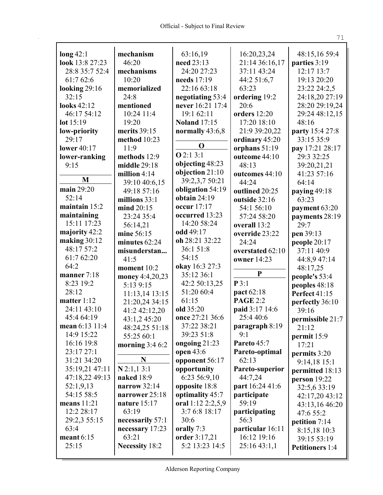| $\log 42:1$           | mechanism                | 63:16,19            | 16:20,23,24           | 48:15,16 59:4                         |
|-----------------------|--------------------------|---------------------|-----------------------|---------------------------------------|
| look 13:8 27:23       | 46:20                    | need 23:13          | 21:14 36:16,17        | parties 3:19                          |
| 28:8 35:7 52:4        | mechanisms               | 24:20 27:23         | 37:11 43:24           | 12:17 13:7                            |
| 61:7 62:6             | 10:20                    | needs 17:19         | 44:2 51:6,7           | 19:13 20:20                           |
| looking $29:16$       | memorialized             | 22:16 63:18         | 63:23                 | 23:22 24:2,5                          |
| 32:15                 | 24:8                     | negotiating 53:4    |                       | 24:18,20 27:19                        |
| looks 42:12           | mentioned                | never 16:21 17:4    | ordering 19:2<br>20:6 | 28:20 29:19,24                        |
| 46:17 54:12           | 10:24 11:4               | 19:1 62:11          | orders 12:20          | 29:24 48:12,15                        |
| lot 15:19             | 19:20                    | <b>Noland</b> 17:15 | 17:20 18:10           | 48:16                                 |
|                       | merits 39:15             | normally 43:6,8     | 21:9 39:20,22         | party 15:4 27:8                       |
| low-priority<br>29:17 | method 10:23             |                     | ordinary 45:20        | 33:15 35:9                            |
| <b>lower</b> 40:17    | 11:9                     | O                   | orphans 51:19         | pay 17:21 28:17                       |
| lower-ranking         | methods 12:9             | Q2:13:1             | outcome 44:10         | 29:3 32:25                            |
| 9:15                  | middle 29:18             | objecting 48:23     | 48:13                 | 39:20,21,21                           |
|                       | million $4:14$           | objection 21:10     | outcomes 44:10        | 41:23 57:16                           |
| M                     | 39:10 40:6,15            | 39:2,3,7 50:21      | 44:24                 | 64:14                                 |
| main 29:20            | 49:18 57:16              | obligation 54:19    | outlined 20:25        | paying 49:18                          |
| 52:14                 | millions 33:1            | obtain $24:19$      | outside 32:16         | 63:23                                 |
| maintain 15:2         | mind 20:15               | occur 17:17         | 54:1 56:10            | payment 63:20                         |
| maintaining           | 23:24 35:4               | occurred 13:23      | 57:24 58:20           | payments 28:19                        |
| 15:11 17:23           | 56:14,21                 | 14:20 58:24         | overall 13:2          | 29:7                                  |
| majority 42:2         | mine 56:15               | odd 49:17           | override 23:22        | pen 39:13                             |
| making $30:12$        | minutes 62:24            | oh 28:21 32:22      | 24:24                 | people 20:17                          |
| 48:17 57:2            | misunderstan             | 36:1 51:8           | overstated 62:10      | 37:11 40:9                            |
| 61:7 62:20            | 41:5                     | 54:15               | <b>owner</b> 14:23    | 44:8,9 47:14                          |
| 64:2                  | moment 10:2              | okay 16:3 27:3      |                       | 48:17,25                              |
| manner $7:18$         | money 4:4,20,23          | 35:12 36:1          | P                     | people's 53:4                         |
| 8:23 19:2             | 5:13 9:15                | 42:2 50:13,25       | P3:1                  | peoples 48:18                         |
| 28:12                 | 11:13,14 13:15           | 51:20 60:4          | pact 62:18            | <b>Perfect 41:15</b>                  |
| matter 1:12           | 21:20,24 34:15           | 61:15               | <b>PAGE 2:2</b>       | perfectly 36:10                       |
| 24:11 43:10           | 41:2 42:12,20            | old 35:20           | paid 3:17 14:6        | 39:16                                 |
| 45:4 64:19            | 43:1,2 45:20             | once 27:21 36:6     | 25:4 40:6             | permissible 21:7                      |
| mean 6:13 11:4        | 48:24,25 51:18           | 37:22 38:21         | paragraph 8:19        | 21:12                                 |
| 14:9 15:22            | 55:25 60:1               | 39:23 51:8          | 9:1                   | permit 15:9                           |
| 16:16 19:8            | morning $3:46:2$         | ongoing $21:23$     | Pareto 45:7           | 17:21                                 |
| 23:17 27:1            |                          | open 43:6           | Pareto-optimal        | permits 3:20                          |
| 31:21 34:20           | N                        | opponent 56:17      | 62:13                 | 9:14,18 15:1                          |
| 35:19,21 47:11        | $N$ 2:1,1 3:1            | opportunity         | Pareto-superior       | permitted 18:13                       |
| 47:18,22 49:13        | naked 18:9               | 6:23 56:9,10        | 44:7,24               | person 19:22                          |
| 52:1,9,13             | narrow 32:14             | opposite 18:8       | part 16:24 41:6       | 32:5,6 33:19                          |
| 54:15 58:5            | narrower 25:18           | optimality 45:7     | participate           | 42:17,20 43:12                        |
| means $11:21$         | nature $15:17$           | oral 1:12 2:2,5,9   | 59:19                 | 43:13,16 46:20                        |
| 12:2 28:17            | 63:19                    | 3:7 6:8 18:17       | participating         | 47:6 55:2                             |
|                       |                          |                     |                       |                                       |
| 29:2,3 55:15          | necessarily 57:1         | 30:6                | 56:3                  |                                       |
| 63:4                  |                          | orally 7:3          | particular 16:11      | petition 7:14                         |
| meant $6:15$          | necessary 17:23<br>63:21 | order 3:17,21       | 16:12 19:16           | 8:15,18 10:3                          |
| 25:15                 | <b>Necessity 18:2</b>    | 5:2 13:23 14:5      | 25:1643:1,1           | 39:15 53:19<br><b>Petitioners</b> 1:4 |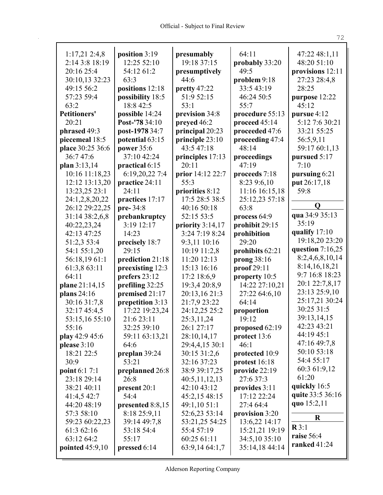| $1:17,21$ 2:4,8                 | position 3:19                     | presumably         | 64:11            | 47:22 48:1,11               |
|---------------------------------|-----------------------------------|--------------------|------------------|-----------------------------|
| 2:14 3:8 18:19                  | 12:25 52:10                       | 19:18 37:15        | probably 33:20   | 48:20 51:10                 |
| 20:16 25:4                      | 54:12 61:2                        | presumptively      | 49:5             | provisions 12:11            |
| 30:10,13 32:23                  | 63:3                              | 44:6               | problem 9:18     | 27:23 28:4,8                |
| 49:15 56:2                      | positions 12:18                   | pretty 47:22       | 33:5 43:19       | 28:25                       |
| 57:23 59:4                      | possibility 18:5                  | 51:9 52:15         | 46:24 50:5       | purpose 12:22               |
| 63:2                            | 18:8 42:5                         | 53:1               | 55:7             | 45:12                       |
| <b>Petitioners'</b>             | possible 14:24                    | prevision 34:8     | procedure 55:13  | pursue 4:12                 |
| 20:21                           | Post-'78 34:10                    | preyed 46:2        | proceed 45:14    | 5:12 7:6 30:21              |
| phrased 49:3                    | post-1978 34:7                    | principal 20:23    | proceeded 47:6   | 33:21 55:25                 |
| piecemeal 18:5                  | potential 63:15                   | principle 23:10    | proceeding 47:4  | 56:5,9,11                   |
| place 30:25 36:6                | power 35:6                        | 43:5 47:18         | 48:14            | 59:17 60:1,13               |
| 36:747:6                        | 37:10 42:24                       | principles 17:13   | proceedings      | pursued 5:17                |
| plan 3:13,14                    | practical 6:15                    | 20:11              | 47:19            | 7:10                        |
| 10:16 11:18,23                  | 6:19,20,22 7:4                    | prior 14:12 22:7   | proceeds 7:18    | pursuing 6:21               |
| 12:12 13:13,20                  | practice 24:11                    | 55:3               | 8:23 9:6,10      | put 26:17,18                |
| 13:23,25 23:1                   | 24:11                             | priorities 8:12    | 11:16 16:15,18   | 59:8                        |
| 24:1,2,8,20,22                  | practices 17:17                   | 17:5 28:5 38:5     | 25:12,23 57:18   |                             |
| 26:12 29:22,25                  | pre-34:8                          | 40:16 50:18        | 63:8             | $\mathbf 0$                 |
| 31:14 38:2,6,8                  | prebankruptcy                     | 52:15 53:5         | process 64:9     | qua 34:9 35:13              |
| 40:22,23,24                     | 3:19 12:17                        | priority $3:14,17$ | prohibit 29:15   | 35:19                       |
| 42:13 47:25                     | 14:23                             | 3:24 7:19 8:24     | prohibition      | qualify $17:10$             |
| 51:2,3 53:4                     | precisely 18:7                    | 9:3,11 10:16       | 29:20            | 19:18,20 23:20              |
| 54:1 55:1,20                    | 29:15                             | 10:19 11:2,8       | prohibits 62:21  | question 7:16,25            |
| 56:18,1961:1                    | prediction 21:18                  | 11:20 12:13        | prong 38:16      | 8:2,4,6,8,10,14             |
| 61:3,8 63:11                    | preexisting 12:3                  | 15:13 16:16        | proof 29:11      | 8:14,16,18,21               |
| 64:11                           | prefers 23:12                     | 17:2 18:6,9        | property 10:5    | 9:7 16:8 18:23              |
|                                 |                                   |                    | 14:22 27:10,21   | 20:1 22:7,8,17              |
| plane 21:14,15<br>plans $24:16$ | prefiling 32:25<br>premised 21:17 | 19:3,4 20:8,9      |                  | 23:13 25:9,10               |
|                                 |                                   | 20:13,16 21:3      | 27:22 64:6,10    | 25:17,21 30:24              |
| 30:16 31:7,8                    | prepetition 3:13                  | 21:7,9 23:22       | 64:14            | 30:25 31:5                  |
| 32:17 45:4,5                    | 17:22 19:23,24                    | 24:12,25 25:2      | proportion       | 39:13,14,15                 |
| 53:15,16 55:10                  | 21:6 23:11                        | 25:3,11,24         | 19:12            | 42:23 43:21                 |
| 55:16                           | 32:25 39:10                       | 26:1 27:17         | proposed $62:19$ | 44:19 45:1                  |
| play 42:9 45:6                  | 59:11 63:13,21                    | 28:10,14,17        | protect 13:6     |                             |
| please $3:10$                   | 64:6                              | 29:4,4,15 30:1     | 46:1             | 47:16 49:7,8<br>50:10 53:18 |
| 18:21 22:5                      | preplan 39:24                     | 30:15 31:2,6       | protected 10:9   | 54:4 55:17                  |
| 30:9                            | 53:21                             | 32:16 37:23        | protest $16:18$  |                             |
| <b>point</b> 6:1 7:1            | preplanned 26:8                   | 38:9 39:17,25      | provide 22:19    | 60:3 61:9,12                |
| 23:18 29:14                     | 26:8                              | 40:5,11,12,13      | 27:6 37:3        | 61:20                       |
| 38:21 40:11                     | present 20:1                      | 42:10 43:12        | provides 3:11    | quickly 16:5                |
| 41:4,5 42:7                     | 54:4                              | 45:2,15 48:15      | 17:12 22:24      | quite 33:5 36:16            |
| 44:20 48:19                     | presented 8:8,15                  | 49:1,10 51:1       | 27:4 64:4        | quo 15:2,11                 |
| 57:3 58:10                      | 8:18 25:9,11                      | 52:6,23 53:14      | provision 3:20   | R                           |
| 59:23 60:22,23                  | 39:14 49:7,8                      | 53:21,25 54:25     | 13:6,22 14:17    |                             |
| 61:3 62:16                      | 53:18 54:4                        | 55:4 57:19         | 15:21,21 19:19   | $\mathbf{R} 3:1$            |
| 63:12 64:2                      | 55:17                             | 60:25 61:11        | 34:5,10 35:10    | raise 56:4                  |
| pointed $45:9,10$               | pressed 6:14                      | 63:9,14 64:1,7     | 35:14,18 44:14   | ranked 41:24                |
|                                 |                                   |                    |                  |                             |

Alderson Reporting Company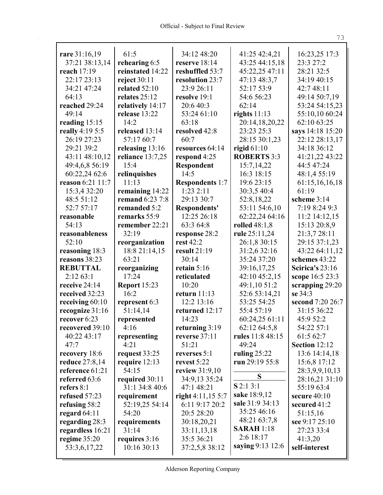| rare 31:16,19                  | 61:5                   | 34:12 48:20                     | 41:25 42:4,21                    | 16:23,25 17:3           |
|--------------------------------|------------------------|---------------------------------|----------------------------------|-------------------------|
| 37:21 38:13,14                 | rehearing 6:5          | reserve 18:14                   | 43:25 44:15,18                   | 23:3 27:2               |
| reach 17:19                    | reinstated 14:22       | reshuffled 53:7                 | 45:22,25 47:11                   | 28:21 32:5              |
| 22:17 23:13                    | reject $30:11$         | resolution 23:7                 | 47:13 48:3,7                     | 34:19 40:15             |
| 34:21 47:24                    | related 52:10          | 23:9 26:11                      | 52:17 53:9                       | 42:7 48:11              |
| 64:13                          | relates 25:12          | resolve 19:1                    | 54:6 56:23                       | 49:14 50:7,19           |
| reached 29:24                  | relatively 14:17       | 20:6 40:3                       | 62:14                            | 53:24 54:15,23          |
| 49:14                          | release 13:22          | 53:24 61:10                     | rights $11:13$                   | 55:10,10 60:24          |
| reading $15:15$                | 14:2                   | 63:18                           | 20:14,18,20,22                   | 62:10 63:25             |
| really 4:19 5:5                | released 13:14         | resolved 42:8                   | 23:23 25:3                       | says 14:18 15:20        |
| 26:19 27:23                    | 57:17 60:7             | 60:7                            | 28:15 30:1,23                    | 22:12 28:13,17          |
| 29:21 39:2                     | releasing 13:16        | resources 64:14                 | rigid $61:10$                    | 34:18 36:12             |
| 43:11 48:10,12                 | reliance 13:7,25       | respond 4:25                    | <b>ROBERTS 3:3</b>               | 41:21,22 43:22          |
| 49:4,6,8 56:19                 | 15:4                   | Respondent                      | 15:7,14,22                       | 44:5 47:24              |
| 60:22,24 62:6                  | relinquishes           | 14:5                            | 16:3 18:15                       | 48:1,4 55:19            |
| reason 6:21 11:7               | 11:13                  | <b>Respondents 1:7</b>          | 19:6 23:15                       | 61:15,16,16,18          |
| 15:3,4 32:20                   | remaining 14:22        | 1:232:11                        | 30:3,5 40:4                      | 61:19                   |
| 48:5 51:12                     | <b>remand</b> 6:23 7:8 | 29:13 30:7                      | 52:8,18,22                       | scheme 3:14             |
| 52:7 57:17                     | remanded 5:2           | Respondents'                    | 53:11 54:6,10                    | 7:19 8:24 9:3           |
| reasonable                     | remarks 55:9           | 12:25 26:18                     | 62:22,24 64:16                   | 11:2 14:12,15           |
| 54:13                          | remember 22:21         | 63:3 64:8                       | rolled 48:1,8                    | 15:13 20:8,9            |
| reasonableness                 | 32:19                  | response 28:2                   | rule 25:11,24                    | 21:3,7 28:11            |
| 52:10                          | reorganization         | rest 42:2                       | 26:1,8 30:15                     | 29:15 37:1,23           |
| reasoning 18:3                 | 18:8 21:14,15          | result $21:19$                  | 31:2,6 32:16                     | 43:22 64:11,12          |
| reasons 38:23                  | 63:21                  | 30:14                           | 35:24 37:20                      | schemes 43:22           |
| <b>REBUTTAL</b>                | reorganizing           | retain $5:16$                   | 39:16,17,25                      | Scirica's $23:16$       |
| 2:1263:1                       | 17:24                  | reticulated                     | 42:10 45:2,15                    | scope 16:5 23:3         |
| receive 24:14                  | <b>Report 15:23</b>    | 10:20                           | 49:1,10 51:2                     | scrapping 29:20         |
| received 32:23                 | 16:2                   | return $11:13$                  | 52:6 53:14,21                    | se 34:3                 |
| receiving $60:10$              | represent 6:3          | 12:2 13:16                      | 53:25 54:25                      | second 7:20 26:7        |
| recognize 31:16                | 51:14,14               | returned 12:17                  | 55:4 57:19                       | 31:15 36:22             |
| recover 6:23                   | represented            | 14:23                           | 60:24,25 61:11                   | 45:9 52:2               |
| recovered 39:10<br>40:22 43:17 | 4:16                   | returning 3:19<br>reverse 37:11 | 62:12 64:5,8<br>rules 11:8 48:15 | 54:22 57:1<br>61:5 62:7 |
| 47:7                           | representing<br>4:21   | 51:21                           | 49:24                            | Section 12:12           |
| recovery 18:6                  | request 33:25          | reverses 5:1                    | ruling $25:22$                   | 13:6 14:14,18           |
| reduce 27:8,14                 | require 12:13          | revest 5:22                     | run 29:19 55:8                   | 15:6,8 17:12            |
| reference 61:21                | 54:15                  | <b>review</b> 31:9,10           |                                  | 28:3,9,9,10,13          |
| referred 63:6                  | required 30:11         | 34:9,13 35:24                   | S                                | 28:16,21 31:10          |
| refers $8:1$                   | 31:1 34:8 40:6         | 47:1 48:21                      | $S$ 2:1 3:1                      | 55:19 63:4              |
| refused 57:23                  | requirement            | right $4:11,155:7$              | sake 18:9,12                     | secure 40:10            |
| refusing 58:2                  | 52:19,25 54:14         | 6:11 9:17 20:2                  | sale 31:9 34:13                  | secured 41:2            |
| regard $64:11$                 | 54:20                  | 20:5 28:20                      | 35:25 46:16                      | 51:15,16                |
| regarding 28:3                 | requirements           | 30:18,20,21                     | 48:21 63:7,8                     | see 9:17 25:10          |
| regardless 16:21               | 31:14                  | 33:11,13,18                     | <b>SARAH</b> 1:18                | 27:23 33:4              |
| regime 35:20                   | requires 3:16          | 35:5 36:21                      | 2:6 18:17                        | 41:3,20                 |
| 53:3,6,17,22                   | 10:16 30:13            | 37:2,5,8 38:12                  | saying 9:13 12:6                 | self-interest           |
|                                |                        |                                 |                                  |                         |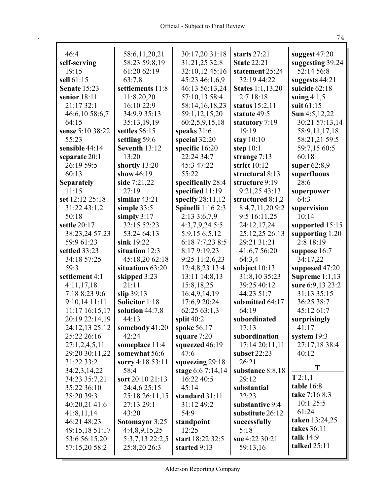| 46:4                | 58:6,11,20,21         | 30:17,20 31:18           | starts $27:21$          | suggest $47:20$   |
|---------------------|-----------------------|--------------------------|-------------------------|-------------------|
| self-serving        | 58:23 59:8,19         | 31:21,25 32:8            | <b>State 22:21</b>      | suggesting 39:24  |
| 19:15               | 61:20 62:19           | 32:10,12 45:16           | statement 25:24         | 52:14 56:8        |
| sell 61:15          | 63:7,8                | 45:23 46:1,6,9           | 32:19 44:22             | suggests 44:21    |
| <b>Senate 15:23</b> | settlements 11:8      | 46:13 56:13,24           | <b>States</b> 1:1,13,20 | suicide 62:18     |
| senior $18:11$      | 11:8,20,20            | 57:10,13 58:4            | 2:718:18                | suing $4:1,5$     |
| 21:17 32:1          | 16:10 22:9            | 58:14,16,18,23           | status $15:2,11$        | suit 61:15        |
| 46:6,10 58:6,7      | 34:9,9 35:13          | 59:1,12,15,20            | statute 49:5            | Sun 4:5,12,22     |
| 64:15               | 35:13,19,19           | 60:2,5,9,15,18           | statutory 7:19          | 30:21 57:13,14    |
| sense 5:10 38:22    | settles 56:15         | speaks 31:6              | 19:19                   | 58:9,11,17,18     |
| 55:23               | settling 59:6         | special 32:20            | stay $10:10$            | 58:21,21 59:5     |
| sensible 44:14      | Seventh 13:12         | specific 16:20           | step $10:1$             | 59:7,15 60:5      |
| separate 20:1       | 13:20                 | 22:24 34:7               | strange $7:13$          | 60:18             |
| 26:19 59:5          | shortly 13:20         | 45:3 47:22               | strict $10:12$          | super $62:8,9$    |
| 60:13               | show 46:19            | 55:22                    | structural 8:13         | superfluous       |
| <b>Separately</b>   | side 7:21,22          | specifically 28:4        | structure 9:19          | 28:6              |
| 11:15               | 27:19                 | specified 11:19          | 9:21,25 43:13           | superpower        |
| set 12:12 25:18     | similar $43:21$       | specify $28:11,12$       | structured 8:1,2        | 64:3              |
| 31:22 43:1,2        | simple $33:5$         | <b>Spinelli</b> 1:16 2:3 | 8:4,7,11,209:2          | supervision       |
| 50:18               | simply $3:17$         | 2:13 3:6,7,9             | 9:5 16:11,25            | 10:14             |
| settle 20:17        | 32:15 52:23           | $4:3,7,9,24$ 5:5         | 24:12,17,24             | supported 15:15   |
| 38:23,24 57:23      | 53:24 64:13           | 5:9,15 6:5,12            | 25:12,25 26:13          | supporting $1:20$ |
| 59:9 61:23          | sink 19:22            | 6:18 7:7,23 8:5          | 29:21 31:21             | 2:8 18:19         |
|                     |                       |                          |                         |                   |
| settled 33:23       | situation 12:3        | 8:17 9:19,23             | 41:6,7 56:20            | suppose 16:7      |
| 34:18 57:25         | 45:18,20 62:18        | 9:25 11:2,6,23           | 64:3,4                  | 34:17,22          |
| 59:3                | situations 63:20      | 12:4,8,23 13:4           | subject 10:13           | supposed 47:20    |
| settlement 4:1      | skipped 3:23          | 13:11 14:8,13            | 31:8,10 35:23           | Supreme $1:1,13$  |
| 4:11,17,18          | 21:11                 | 15:8,18,25               | 39:25 40:12             | sure 6:9,13 23:2  |
| 7:18 8:23 9:6       | slip $39:13$          | 16:4,9,14,19             | 44:23 51:7              | 31:13 35:15       |
| 9:10,14 11:11       | <b>Solicitor</b> 1:18 | 17:6,9 20:24             | submitted 64:17         | 36:25 38:7        |
| 11:17 16:15,17      | solution 44:7,8       | 62:25 63:1,3             | 64:19                   | 45:12 61:7        |
| 20:19 22:14,19      | 44:13                 | split $40:2$             | subordinated            | surprisingly      |
| 24:12,13 25:12      | somebody $41:20$      | spoke 56:17              | 17:13                   | 41:17             |
| 25:22 26:16         | 42:24                 | square 7:20              | subordination           | system $19:3$     |
| 27:1,2,4,5,11       | someplace 11:4        | squeezed 46:19           | 17:14 20:11,11          | 27:17,18 38:4     |
| 29:20 30:11,22      | somewhat 56:6         | 47:6                     | subset 22:23            | 40:12             |
| 31:22 33:2          | sorry 4:18 53:11      | squeezing 29:18          | 26:21                   |                   |
| 34:2,3,14,22        | 58:4                  | stage 6:6 7:14,14        | substance 8:8,18        | T                 |
| 34:23 35:7,21       | sort 20:10 21:13      | 16:22 40:5               | 29:12                   | T 2:1,1           |
| 35:22 36:10         | 24:4,6 25:15          | 45:14                    | substantial             | table 16:8        |
| 38:20 39:3          | 25:18 26:11,15        | standard 31:11           | 32:23                   | take 7:16 8:3     |
| 40:20,21 41:6       | 27:13 29:1            | 31:12 49:2               | substantive 9:4         | 10:125:5          |
| 41:8,11,14          | 43:20                 | 54:9                     | substitute 26:12        | 61:24             |
| 46:21 48:23         | Sotomayor 3:25        | standpoint               | successfully            | taken 13:24,25    |
| 49:15,18 51:17      | 4:4,8,9,15,25         | 12:25                    | 5:18                    | takes 36:11       |
| 53:6 56:15,20       | 5:3,7,13 22:2,5       | start 18:22 32:5         | sue 4:22 30:21          | talk 14:9         |
| 57:15,20 58:2       | 25:8,20 26:3          | started 9:13             | 59:13,16                | talked 25:11      |
|                     |                       |                          |                         |                   |

74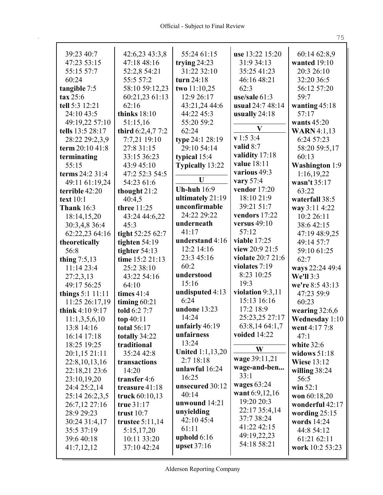| 39:23 40:7         | 42:6,23 43:3,8    | 55:24 61:15             | use 13:22 15:20     | 60:14 62:8,9          |
|--------------------|-------------------|-------------------------|---------------------|-----------------------|
| 47:23 53:15        | 47:18 48:16       | trying $24:23$          | 31:9 34:13          | wanted $19:10$        |
| 55:15 57:7         | 52:2,8 54:21      | 31:22 32:10             | 35:25 41:23         | 20:3 26:10            |
| 60:24              | 55:5 57:2         | turn 24:18              | 46:16 48:21         | 32:20 36:5            |
| tangible 7:5       | 58:10 59:12,23    | two 11:10,25            | 62:3                | 56:12 57:20           |
| $\tan 25:6$        | 60:21,23 61:13    | 12:9 26:17              | use/sale $61:3$     | 59:7                  |
| tell 5:3 12:21     | 62:16             | 43:21,24 44:6           | usual 24:7 48:14    | wanting $45:18$       |
| 24:10 43:5         | thinks $18:10$    | 44:22 45:3              | usually 24:18       | 57:17                 |
| 49:19,22 57:10     | 51:15,16          | 55:20 59:2              | V                   | wants $45:20$         |
| tells 13:5 28:17   | third 6:2,4,7 7:2 | 62:24                   | v 1:5 3:4           | <b>WARN</b> 4:1,13    |
| 28:22 29:2,3,9     | 7:7,21 19:10      | type 24:1 28:19         | valid 8:7           | 6:24 57:23            |
| term 20:10 41:8    | 27:8 31:15        | 29:10 54:14             | validity 17:18      | 58:20 59:5,17         |
| terminating        | 33:15 36:23       | typical 15:4            | value 18:11         | 60:13                 |
| 55:15              | 43:9 45:10        | Typically 13:22         | various 49:3        | <b>Washington</b> 1:9 |
| terms 24:2 31:4    | 47:2 52:3 54:5    | U                       | vary 57:4           | 1:16,19,22            |
| 49:11 61:19,24     | 54:23 61:6        | <b>Uh-huh</b> 16:9      | vendor 17:20        | wasn't 35:17          |
| terrible 42:20     | thought 21:2      | ultimately 21:19        | 18:10 21:9          | 63:22                 |
| text 10:1          | 40:4,5            | unconfirmable           | 39:21 51:7          | waterfall 38:5        |
| <b>Thank</b> 16:3  | three 11:25       | 24:22 29:22             | vendors 17:22       | way 3:11 4:22         |
| 18:14,15,20        | 43:24 44:6,22     | underneath              | versus $49:10$      | 10:2 26:11            |
| 30:3,4,8 36:4      | 45:3              | 41:17                   | 57:12               | 38:6 42:15            |
| 62:22,23 64:16     | tight 52:25 62:7  | understand 4:16         | <b>viable</b> 17:25 | 47:19 48:9,25         |
| theoretically      | tighten $54:19$   | 12:2 14:16              | view 20:9 21:5      | 49:14 57:7            |
| 56:8               | tighter $54:13$   | 23:3 45:16              | violate 20:7 21:6   | 59:10 61:25           |
| thing $7:5,13$     | time 15:2 21:13   | 60:2                    | violates 7:19       | 62:7                  |
| 11:14 23:4         | 25:2 38:10        | understood              | 8:23 10:25          | ways 22:24 49:4       |
| 27:2,3,13          | 43:22 54:16       | 15:16                   | 19:3                | We'll 3:3             |
| 49:17 56:25        | 64:10             | undisputed 4:13         | violation $9:3,11$  | we're 8:5 43:13       |
| things $5:1$ 11:11 | times $41:4$      | 6:24                    | 15:13 16:16         | 47:23 59:9            |
| 11:25 26:17,19     | timing $60:21$    | undone 13:23            | 17:2 18:9           | 60:23                 |
| think 4:10 9:17    | told 6:2 7:7      | 14:24                   | 25:23,25 27:17      | wearing $32:6,6$      |
| 11:1,3,5,6,10      | top $40:11$       | unfairly 46:19          | 63:8,14 64:1,7      | Wednesday 1:10        |
| 13:8 14:16         | total 56:17       | unfairness              | voided 14:22        | went 4:17 7:8<br>47:1 |
| 16:14 17:18        | totally 34:22     | 13:24                   |                     |                       |
| 18:25 19:25        | traditional       | <b>United 1:1,13,20</b> | W                   | white 32:6            |
| 20:1,15 21:11      | 35:24 42:8        | 2:718:18                | wage 39:11,21       | widows $51:18$        |
| 22:8,10,13,16      | transactions      | unlawful 16:24          | wage-and-ben        | <b>Wiese 13:12</b>    |
| 22:18,21 23:6      | 14:20             | 16:25                   | 33:1                | willing $38:24$       |
| 23:10,19,20        | transfer 4:6      | unsecured 30:12         | wages $63:24$       | 56:5                  |
| 24:4 25:2,14       | treasure 41:18    | 40:14                   | want 6:9,12,16      | win $52:1$            |
| 25:14 26:2,3,5     | truck 60:10,13    | unwound 14:21           | 19:20 20:3          | won 60:18,20          |
| 26:7,12 27:16      | true 31:17        | unyielding              | 22:17 35:4,14       | wonderful 42:17       |
| 28:9 29:23         | trust $10:7$      | 42:10 45:4              | 37:7 38:24          | wording $25:15$       |
| 30:24 31:4,17      | trustee $5:11,14$ | 61:11                   | 41:22 42:15         | words 14:24           |
| 35:5 37:19         | 5:15,17,20        | uphold $6:16$           | 49:19,22,23         | 44:8 54:12            |
| 39:6 40:18         | 10:11 33:20       | upset 37:16             | 54:18 58:21         | 61:21 62:11           |
| 41:7,12,12         | 37:10 42:24       |                         |                     | work 10:2 53:23       |

75